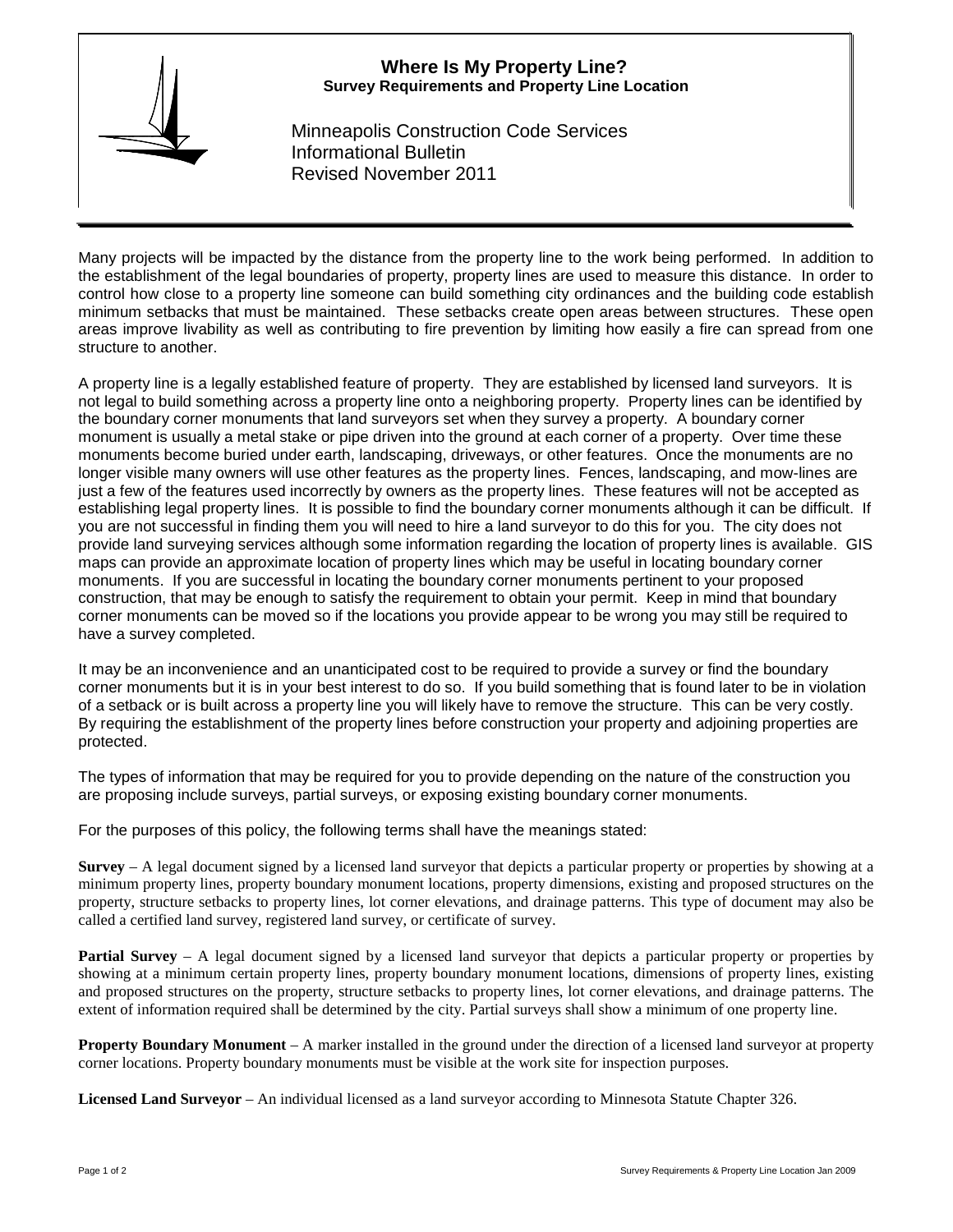# **Where Is My Property Line? Survey Requirements and Property Line Location**



Minneapolis Construction Code Services Informational Bulletin Revised November 2011

Many projects will be impacted by the distance from the property line to the work being performed. In addition to the establishment of the legal boundaries of property, property lines are used to measure this distance. In order to control how close to a property line someone can build something city ordinances and the building code establish minimum setbacks that must be maintained. These setbacks create open areas between structures. These open areas improve livability as well as contributing to fire prevention by limiting how easily a fire can spread from one structure to another.

A property line is a legally established feature of property. They are established by licensed land surveyors. It is not legal to build something across a property line onto a neighboring property. Property lines can be identified by the boundary corner monuments that land surveyors set when they survey a property. A boundary corner monument is usually a metal stake or pipe driven into the ground at each corner of a property. Over time these monuments become buried under earth, landscaping, driveways, or other features. Once the monuments are no longer visible many owners will use other features as the property lines. Fences, landscaping, and mow-lines are just a few of the features used incorrectly by owners as the property lines. These features will not be accepted as establishing legal property lines. It is possible to find the boundary corner monuments although it can be difficult. If you are not successful in finding them you will need to hire a land surveyor to do this for you. The city does not provide land surveying services although some information regarding the location of property lines is available. GIS maps can provide an approximate location of property lines which may be useful in locating boundary corner monuments. If you are successful in locating the boundary corner monuments pertinent to your proposed construction, that may be enough to satisfy the requirement to obtain your permit. Keep in mind that boundary corner monuments can be moved so if the locations you provide appear to be wrong you may still be required to have a survey completed.

It may be an inconvenience and an unanticipated cost to be required to provide a survey or find the boundary corner monuments but it is in your best interest to do so. If you build something that is found later to be in violation of a setback or is built across a property line you will likely have to remove the structure. This can be very costly. By requiring the establishment of the property lines before construction your property and adjoining properties are protected.

The types of information that may be required for you to provide depending on the nature of the construction you are proposing include surveys, partial surveys, or exposing existing boundary corner monuments.

For the purposes of this policy, the following terms shall have the meanings stated:

**Survey** – A legal document signed by a licensed land surveyor that depicts a particular property or properties by showing at a minimum property lines, property boundary monument locations, property dimensions, existing and proposed structures on the property, structure setbacks to property lines, lot corner elevations, and drainage patterns. This type of document may also be called a certified land survey, registered land survey, or certificate of survey.

**Partial Survey** – A legal document signed by a licensed land surveyor that depicts a particular property or properties by showing at a minimum certain property lines, property boundary monument locations, dimensions of property lines, existing and proposed structures on the property, structure setbacks to property lines, lot corner elevations, and drainage patterns. The extent of information required shall be determined by the city. Partial surveys shall show a minimum of one property line.

**Property Boundary Monument** – A marker installed in the ground under the direction of a licensed land surveyor at property corner locations. Property boundary monuments must be visible at the work site for inspection purposes.

**Licensed Land Surveyor** – An individual licensed as a land surveyor according to Minnesota Statute Chapter 326.